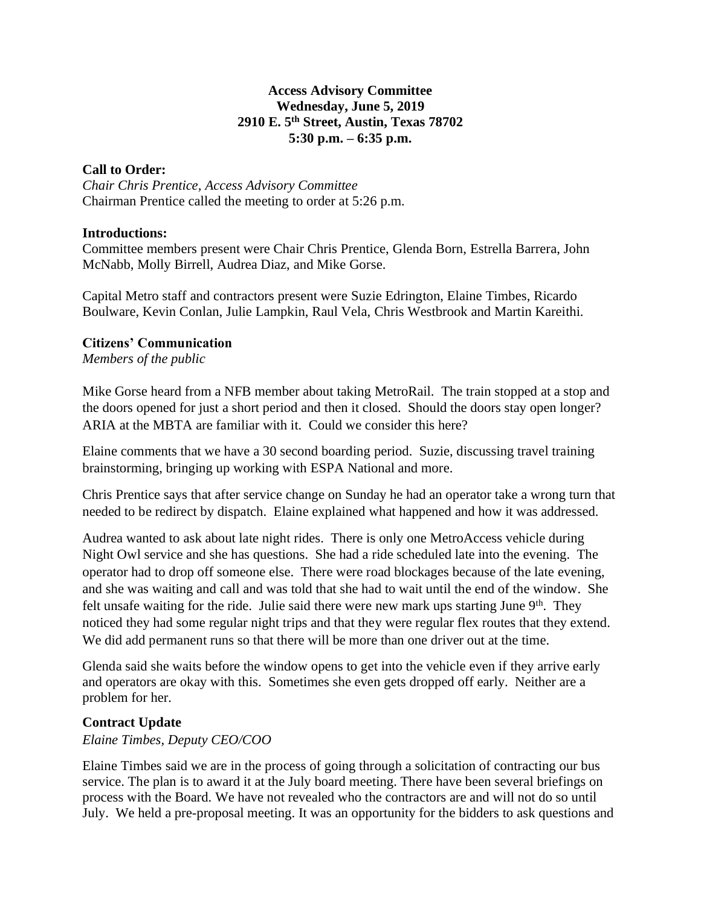### **Access Advisory Committee Wednesday, June 5, 2019 2910 E. 5th Street, Austin, Texas 78702 5:30 p.m. – 6:35 p.m.**

### **Call to Order:**

*Chair Chris Prentice, Access Advisory Committee* Chairman Prentice called the meeting to order at 5:26 p.m.

#### **Introductions:**

Committee members present were Chair Chris Prentice, Glenda Born, Estrella Barrera, John McNabb, Molly Birrell, Audrea Diaz, and Mike Gorse.

Capital Metro staff and contractors present were Suzie Edrington, Elaine Timbes, Ricardo Boulware, Kevin Conlan, Julie Lampkin, Raul Vela, Chris Westbrook and Martin Kareithi.

### **Citizens' Communication**

*Members of the public*

Mike Gorse heard from a NFB member about taking MetroRail. The train stopped at a stop and the doors opened for just a short period and then it closed. Should the doors stay open longer? ARIA at the MBTA are familiar with it. Could we consider this here?

Elaine comments that we have a 30 second boarding period. Suzie, discussing travel training brainstorming, bringing up working with ESPA National and more.

Chris Prentice says that after service change on Sunday he had an operator take a wrong turn that needed to be redirect by dispatch. Elaine explained what happened and how it was addressed.

Audrea wanted to ask about late night rides. There is only one MetroAccess vehicle during Night Owl service and she has questions. She had a ride scheduled late into the evening. The operator had to drop off someone else. There were road blockages because of the late evening, and she was waiting and call and was told that she had to wait until the end of the window. She felt unsafe waiting for the ride. Julie said there were new mark ups starting June  $9<sup>th</sup>$ . They noticed they had some regular night trips and that they were regular flex routes that they extend. We did add permanent runs so that there will be more than one driver out at the time.

Glenda said she waits before the window opens to get into the vehicle even if they arrive early and operators are okay with this. Sometimes she even gets dropped off early. Neither are a problem for her.

### **Contract Update**

*Elaine Timbes, Deputy CEO/COO*

Elaine Timbes said we are in the process of going through a solicitation of contracting our bus service. The plan is to award it at the July board meeting. There have been several briefings on process with the Board. We have not revealed who the contractors are and will not do so until July. We held a pre-proposal meeting. It was an opportunity for the bidders to ask questions and